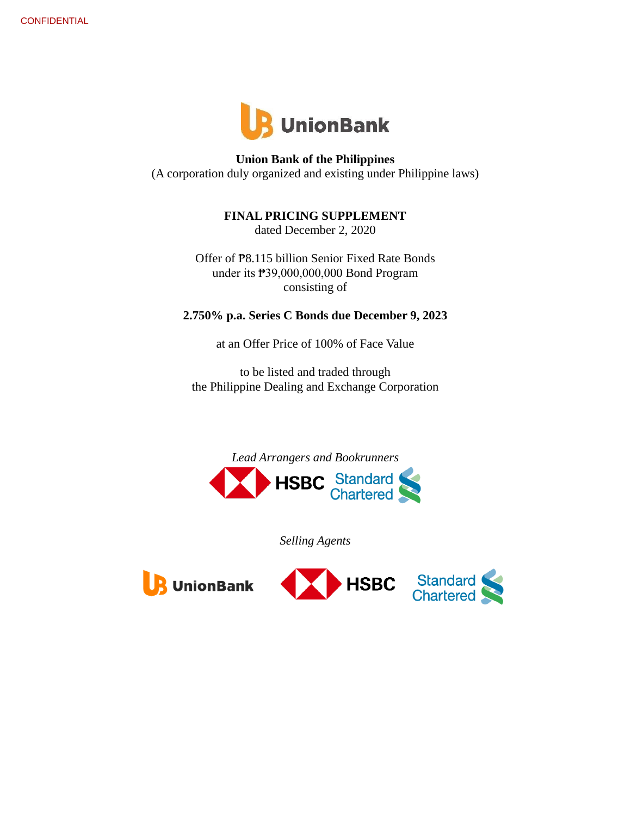

**Union Bank of the Philippines** (A corporation duly organized and existing under Philippine laws)

**FINAL PRICING SUPPLEMENT**

dated December 2, 2020

Offer of ₱8.115 billion Senior Fixed Rate Bonds under its ₱39,000,000,000 Bond Program consisting of

**2.750% p.a. Series C Bonds due December 9, 2023**

at an Offer Price of 100% of Face Value

to be listed and traded through the Philippine Dealing and Exchange Corporation



*Selling Agents*





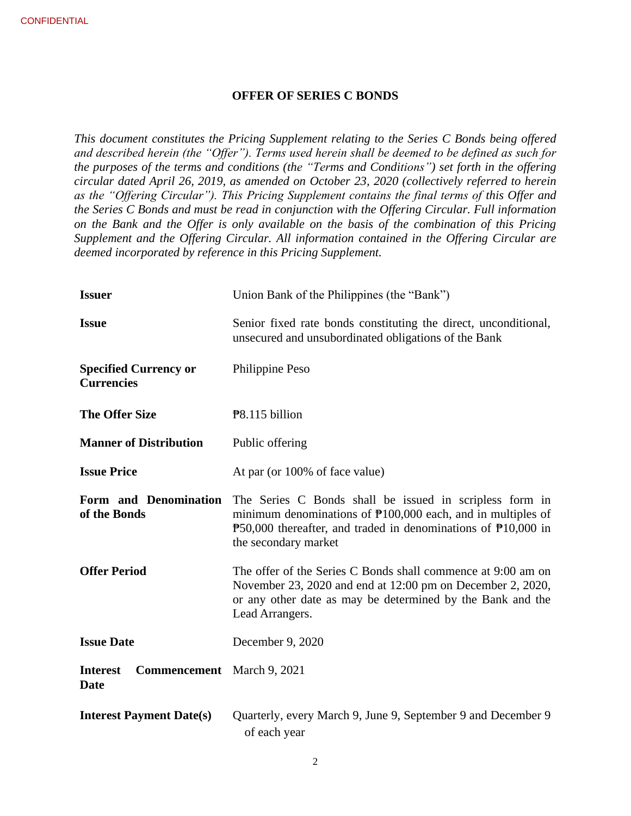### **OFFER OF SERIES C BONDS**

*This document constitutes the Pricing Supplement relating to the Series C Bonds being offered and described herein (the "Offer"). Terms used herein shall be deemed to be defined as such for the purposes of the terms and conditions (the "Terms and Conditions") set forth in the offering circular dated April 26, 2019, as amended on October 23, 2020 (collectively referred to herein as the "Offering Circular"). This Pricing Supplement contains the final terms of this Offer and the Series C Bonds and must be read in conjunction with the Offering Circular. Full information on the Bank and the Offer is only available on the basis of the combination of this Pricing Supplement and the Offering Circular. All information contained in the Offering Circular are deemed incorporated by reference in this Pricing Supplement.*

| <b>Issuer</b>                                                | Union Bank of the Philippines (the "Bank")                                                                                                                                                                                                           |
|--------------------------------------------------------------|------------------------------------------------------------------------------------------------------------------------------------------------------------------------------------------------------------------------------------------------------|
| <b>Issue</b>                                                 | Senior fixed rate bonds constituting the direct, unconditional,<br>unsecured and unsubordinated obligations of the Bank                                                                                                                              |
| <b>Specified Currency or</b><br><b>Currencies</b>            | Philippine Peso                                                                                                                                                                                                                                      |
| <b>The Offer Size</b>                                        | P8.115 billion                                                                                                                                                                                                                                       |
| <b>Manner of Distribution</b>                                | Public offering                                                                                                                                                                                                                                      |
| <b>Issue Price</b>                                           | At par (or 100% of face value)                                                                                                                                                                                                                       |
| Form and Denomination<br>of the Bonds                        | The Series C Bonds shall be issued in scripless form in<br>minimum denominations of $\mathbb{P}100,000$ each, and in multiples of<br>$\overline{P}50,000$ thereafter, and traded in denominations of $\overline{P}10,000$ in<br>the secondary market |
| <b>Offer Period</b>                                          | The offer of the Series C Bonds shall commence at 9:00 am on<br>November 23, 2020 and end at 12:00 pm on December 2, 2020,<br>or any other date as may be determined by the Bank and the<br>Lead Arrangers.                                          |
| <b>Issue Date</b>                                            | December 9, 2020                                                                                                                                                                                                                                     |
| <b>Interest</b><br><b>Commencement</b> March 9, 2021<br>Date |                                                                                                                                                                                                                                                      |
| <b>Interest Payment Date(s)</b>                              | Quarterly, every March 9, June 9, September 9 and December 9<br>of each year                                                                                                                                                                         |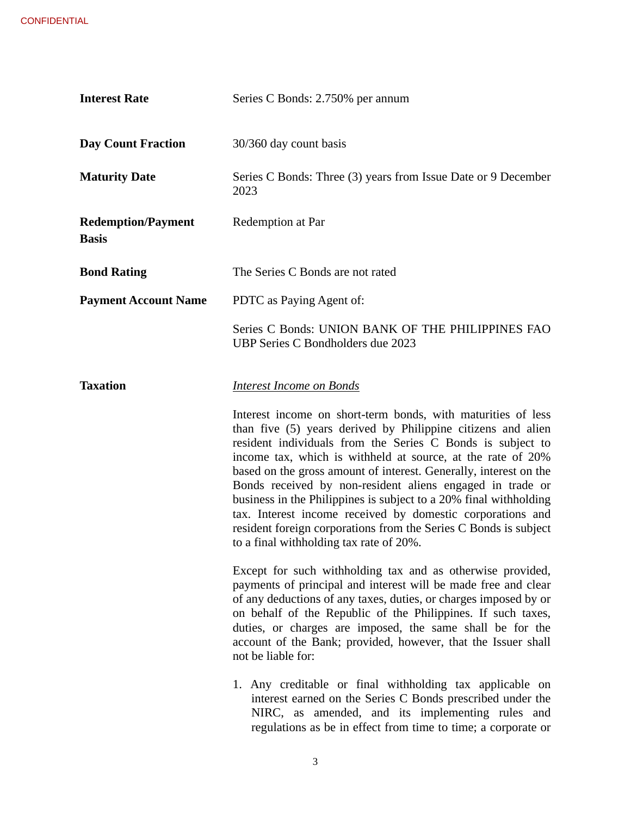| <b>Interest Rate</b>                      | Series C Bonds: 2.750% per annum                                                                                                                                                                                                                                                                                                                                                                                                                                                                                                                                                                                                              |
|-------------------------------------------|-----------------------------------------------------------------------------------------------------------------------------------------------------------------------------------------------------------------------------------------------------------------------------------------------------------------------------------------------------------------------------------------------------------------------------------------------------------------------------------------------------------------------------------------------------------------------------------------------------------------------------------------------|
| <b>Day Count Fraction</b>                 | 30/360 day count basis                                                                                                                                                                                                                                                                                                                                                                                                                                                                                                                                                                                                                        |
| <b>Maturity Date</b>                      | Series C Bonds: Three (3) years from Issue Date or 9 December<br>2023                                                                                                                                                                                                                                                                                                                                                                                                                                                                                                                                                                         |
| <b>Redemption/Payment</b><br><b>Basis</b> | Redemption at Par                                                                                                                                                                                                                                                                                                                                                                                                                                                                                                                                                                                                                             |
| <b>Bond Rating</b>                        | The Series C Bonds are not rated                                                                                                                                                                                                                                                                                                                                                                                                                                                                                                                                                                                                              |
| <b>Payment Account Name</b>               | PDTC as Paying Agent of:                                                                                                                                                                                                                                                                                                                                                                                                                                                                                                                                                                                                                      |
|                                           | Series C Bonds: UNION BANK OF THE PHILIPPINES FAO<br>UBP Series C Bondholders due 2023                                                                                                                                                                                                                                                                                                                                                                                                                                                                                                                                                        |
| <b>Taxation</b>                           | <b>Interest Income on Bonds</b>                                                                                                                                                                                                                                                                                                                                                                                                                                                                                                                                                                                                               |
|                                           | Interest income on short-term bonds, with maturities of less<br>than five (5) years derived by Philippine citizens and alien<br>resident individuals from the Series C Bonds is subject to<br>income tax, which is withheld at source, at the rate of 20%<br>based on the gross amount of interest. Generally, interest on the<br>Bonds received by non-resident aliens engaged in trade or<br>business in the Philippines is subject to a 20% final withholding<br>tax. Interest income received by domestic corporations and<br>resident foreign corporations from the Series C Bonds is subject<br>to a final withholding tax rate of 20%. |
|                                           | Except for such withholding tax and as otherwise provided,<br>payments of principal and interest will be made free and clear<br>of any deductions of any taxes, duties, or charges imposed by or<br>on behalf of the Republic of the Philippines. If such taxes,<br>duties, or charges are imposed, the same shall be for the<br>account of the Bank; provided, however, that the Issuer shall<br>not be liable for:                                                                                                                                                                                                                          |
|                                           | 1. Any creditable or final withholding tax applicable on<br>interest earned on the Series C Bonds prescribed under the<br>NIRC, as amended, and its implementing rules and<br>regulations as be in effect from time to time; a corporate or                                                                                                                                                                                                                                                                                                                                                                                                   |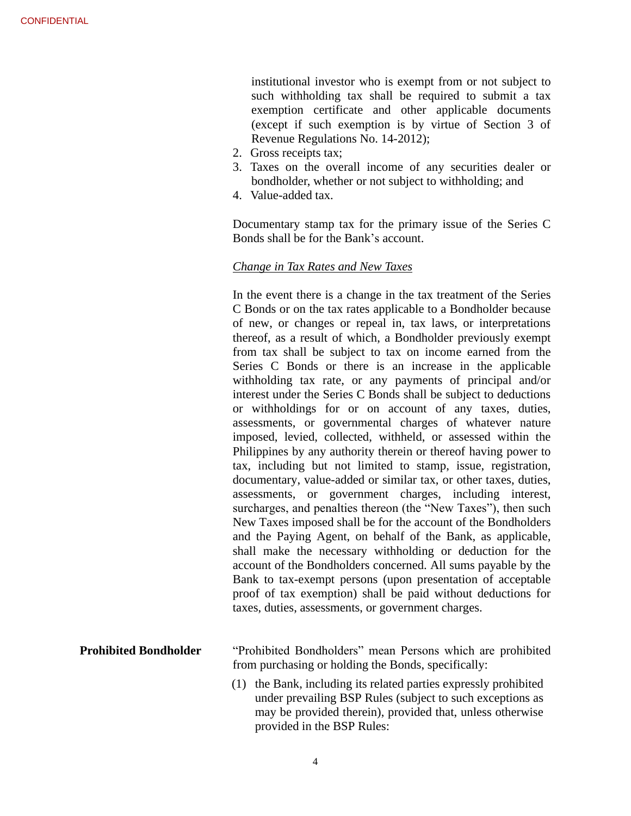institutional investor who is exempt from or not subject to such withholding tax shall be required to submit a tax exemption certificate and other applicable documents (except if such exemption is by virtue of Section 3 of Revenue Regulations No. 14-2012);

- 2. Gross receipts tax;
- 3. Taxes on the overall income of any securities dealer or bondholder, whether or not subject to withholding; and
- 4. Value-added tax.

Documentary stamp tax for the primary issue of the Series C Bonds shall be for the Bank's account.

## *Change in Tax Rates and New Taxes*

In the event there is a change in the tax treatment of the Series C Bonds or on the tax rates applicable to a Bondholder because of new, or changes or repeal in, tax laws, or interpretations thereof, as a result of which, a Bondholder previously exempt from tax shall be subject to tax on income earned from the Series C Bonds or there is an increase in the applicable withholding tax rate, or any payments of principal and/or interest under the Series C Bonds shall be subject to deductions or withholdings for or on account of any taxes, duties, assessments, or governmental charges of whatever nature imposed, levied, collected, withheld, or assessed within the Philippines by any authority therein or thereof having power to tax, including but not limited to stamp, issue, registration, documentary, value-added or similar tax, or other taxes, duties, assessments, or government charges, including interest, surcharges, and penalties thereon (the "New Taxes"), then such New Taxes imposed shall be for the account of the Bondholders and the Paying Agent, on behalf of the Bank, as applicable, shall make the necessary withholding or deduction for the account of the Bondholders concerned. All sums payable by the Bank to tax-exempt persons (upon presentation of acceptable proof of tax exemption) shall be paid without deductions for taxes, duties, assessments, or government charges.

**Prohibited Bondholder** "Prohibited Bondholders" mean Persons which are prohibited from purchasing or holding the Bonds, specifically:

> (1) the Bank, including its related parties expressly prohibited under prevailing BSP Rules (subject to such exceptions as may be provided therein), provided that, unless otherwise provided in the BSP Rules: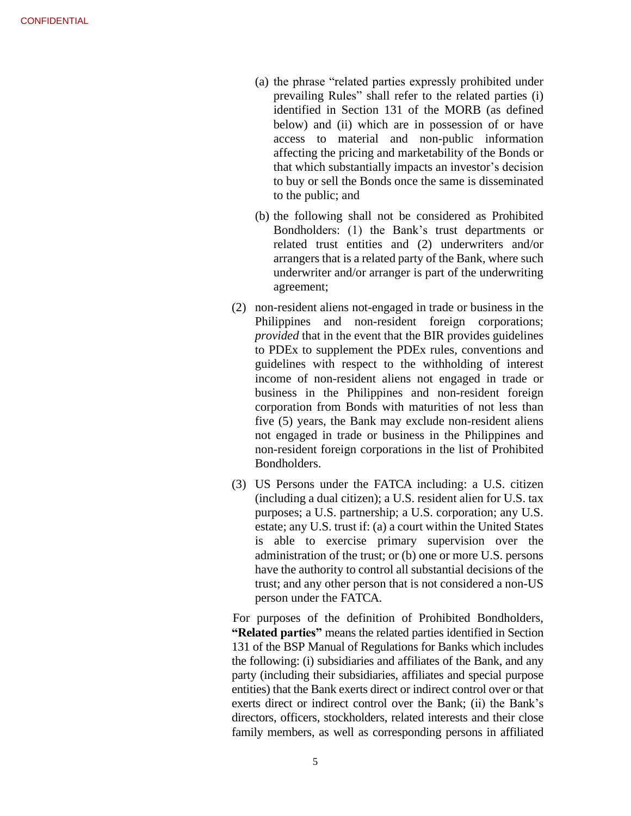- (a) the phrase "related parties expressly prohibited under prevailing Rules" shall refer to the related parties (i) identified in Section 131 of the MORB (as defined below) and (ii) which are in possession of or have access to material and non-public information affecting the pricing and marketability of the Bonds or that which substantially impacts an investor's decision to buy or sell the Bonds once the same is disseminated to the public; and
- (b) the following shall not be considered as Prohibited Bondholders: (1) the Bank's trust departments or related trust entities and (2) underwriters and/or arrangers that is a related party of the Bank, where such underwriter and/or arranger is part of the underwriting agreement;
- (2) non-resident aliens not-engaged in trade or business in the Philippines and non-resident foreign corporations; *provided* that in the event that the BIR provides guidelines to PDEx to supplement the PDEx rules, conventions and guidelines with respect to the withholding of interest income of non-resident aliens not engaged in trade or business in the Philippines and non-resident foreign corporation from Bonds with maturities of not less than five (5) years, the Bank may exclude non-resident aliens not engaged in trade or business in the Philippines and non-resident foreign corporations in the list of Prohibited Bondholders.
- (3) US Persons under the FATCA including: a U.S. citizen (including a dual citizen); a U.S. resident alien for U.S. tax purposes; a U.S. partnership; a U.S. corporation; any U.S. estate; any U.S. trust if: (a) a court within the United States is able to exercise primary supervision over the administration of the trust; or (b) one or more U.S. persons have the authority to control all substantial decisions of the trust; and any other person that is not considered a non-US person under the FATCA.

For purposes of the definition of Prohibited Bondholders, **"Related parties"** means the related parties identified in Section 131 of the BSP Manual of Regulations for Banks which includes the following: (i) subsidiaries and affiliates of the Bank, and any party (including their subsidiaries, affiliates and special purpose entities) that the Bank exerts direct or indirect control over or that exerts direct or indirect control over the Bank; (ii) the Bank's directors, officers, stockholders, related interests and their close family members, as well as corresponding persons in affiliated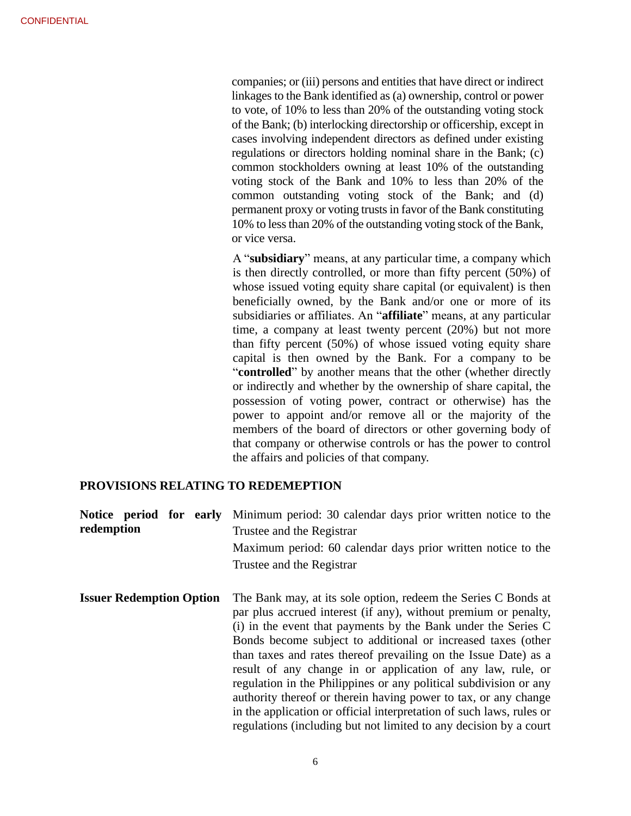companies; or (iii) persons and entities that have direct or indirect linkages to the Bank identified as (a) ownership, control or power to vote, of 10% to less than 20% of the outstanding voting stock of the Bank; (b) interlocking directorship or officership, except in cases involving independent directors as defined under existing regulations or directors holding nominal share in the Bank; (c) common stockholders owning at least 10% of the outstanding voting stock of the Bank and 10% to less than 20% of the common outstanding voting stock of the Bank; and (d) permanent proxy or voting trusts in favor of the Bank constituting 10% to less than 20% of the outstanding voting stock of the Bank, or vice versa.

A "**subsidiary**" means, at any particular time, a company which is then directly controlled, or more than fifty percent (50%) of whose issued voting equity share capital (or equivalent) is then beneficially owned, by the Bank and/or one or more of its subsidiaries or affiliates. An "**affiliate**" means, at any particular time, a company at least twenty percent (20%) but not more than fifty percent (50%) of whose issued voting equity share capital is then owned by the Bank. For a company to be "**controlled**" by another means that the other (whether directly or indirectly and whether by the ownership of share capital, the possession of voting power, contract or otherwise) has the power to appoint and/or remove all or the majority of the members of the board of directors or other governing body of that company or otherwise controls or has the power to control the affairs and policies of that company.

regulations (including but not limited to any decision by a court

#### **PROVISIONS RELATING TO REDEMEPTION**

| Notice period for early<br>redemption | Minimum period: 30 calendar days prior written notice to the<br>Trustee and the Registrar<br>Maximum period: 60 calendar days prior written notice to the<br>Trustee and the Registrar                                                                                                                                                                                                                                                                                                                                                                                                                               |
|---------------------------------------|----------------------------------------------------------------------------------------------------------------------------------------------------------------------------------------------------------------------------------------------------------------------------------------------------------------------------------------------------------------------------------------------------------------------------------------------------------------------------------------------------------------------------------------------------------------------------------------------------------------------|
| <b>Issuer Redemption Option</b>       | The Bank may, at its sole option, redeem the Series C Bonds at<br>par plus accrued interest (if any), without premium or penalty,<br>(i) in the event that payments by the Bank under the Series C<br>Bonds become subject to additional or increased taxes (other<br>than taxes and rates thereof prevailing on the Issue Date) as a<br>result of any change in or application of any law, rule, or<br>regulation in the Philippines or any political subdivision or any<br>authority thereof or therein having power to tax, or any change<br>in the application or official interpretation of such laws, rules or |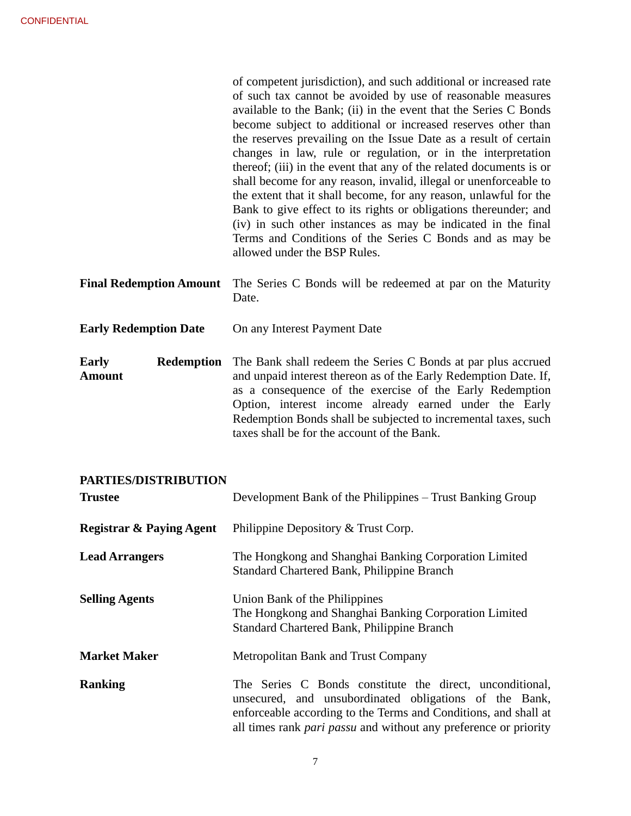|                                             | of competent jurisdiction), and such additional or increased rate<br>of such tax cannot be avoided by use of reasonable measures<br>available to the Bank; (ii) in the event that the Series C Bonds<br>become subject to additional or increased reserves other than<br>the reserves prevailing on the Issue Date as a result of certain<br>changes in law, rule or regulation, or in the interpretation<br>thereof; (iii) in the event that any of the related documents is or<br>shall become for any reason, invalid, illegal or unenforceable to<br>the extent that it shall become, for any reason, unlawful for the<br>Bank to give effect to its rights or obligations thereunder; and<br>(iv) in such other instances as may be indicated in the final<br>Terms and Conditions of the Series C Bonds and as may be<br>allowed under the BSP Rules. |
|---------------------------------------------|-------------------------------------------------------------------------------------------------------------------------------------------------------------------------------------------------------------------------------------------------------------------------------------------------------------------------------------------------------------------------------------------------------------------------------------------------------------------------------------------------------------------------------------------------------------------------------------------------------------------------------------------------------------------------------------------------------------------------------------------------------------------------------------------------------------------------------------------------------------|
| <b>Final Redemption Amount</b>              | The Series C Bonds will be redeemed at par on the Maturity<br>Date.                                                                                                                                                                                                                                                                                                                                                                                                                                                                                                                                                                                                                                                                                                                                                                                         |
| <b>Early Redemption Date</b>                | On any Interest Payment Date                                                                                                                                                                                                                                                                                                                                                                                                                                                                                                                                                                                                                                                                                                                                                                                                                                |
| <b>Early</b><br>Redemption<br><b>Amount</b> | The Bank shall redeem the Series C Bonds at par plus accrued<br>and unpaid interest thereon as of the Early Redemption Date. If,<br>as a consequence of the exercise of the Early Redemption<br>Option, interest income already earned under the Early<br>Redemption Bonds shall be subjected to incremental taxes, such<br>taxes shall be for the account of the Bank.                                                                                                                                                                                                                                                                                                                                                                                                                                                                                     |

# **PARTIES/DISTRIBUTION**

| <b>Trustee</b>                      | Development Bank of the Philippines – Trust Banking Group                                                                                                                                                                                                        |
|-------------------------------------|------------------------------------------------------------------------------------------------------------------------------------------------------------------------------------------------------------------------------------------------------------------|
| <b>Registrar &amp; Paying Agent</b> | Philippine Depository & Trust Corp.                                                                                                                                                                                                                              |
| <b>Lead Arrangers</b>               | The Hongkong and Shanghai Banking Corporation Limited<br>Standard Chartered Bank, Philippine Branch                                                                                                                                                              |
| <b>Selling Agents</b>               | Union Bank of the Philippines<br>The Hongkong and Shanghai Banking Corporation Limited<br>Standard Chartered Bank, Philippine Branch                                                                                                                             |
| <b>Market Maker</b>                 | Metropolitan Bank and Trust Company                                                                                                                                                                                                                              |
| <b>Ranking</b>                      | The Series C Bonds constitute the direct, unconditional,<br>unsecured, and unsubordinated obligations of the Bank,<br>enforceable according to the Terms and Conditions, and shall at<br>all times rank <i>pari passu</i> and without any preference or priority |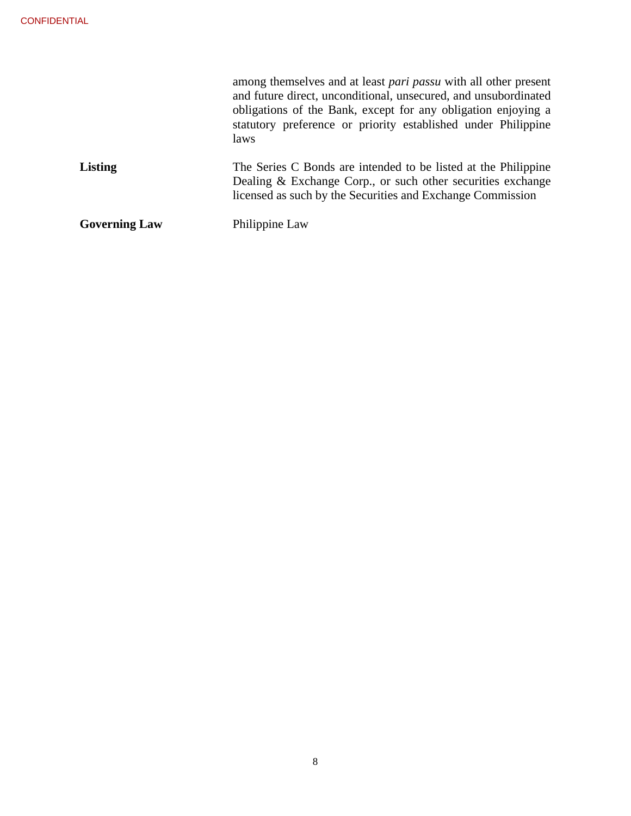|                      | among themselves and at least <i>pari passu</i> with all other present<br>and future direct, unconditional, unsecured, and unsubordinated<br>obligations of the Bank, except for any obligation enjoying a<br>statutory preference or priority established under Philippine<br>laws |
|----------------------|-------------------------------------------------------------------------------------------------------------------------------------------------------------------------------------------------------------------------------------------------------------------------------------|
| <b>Listing</b>       | The Series C Bonds are intended to be listed at the Philippine<br>Dealing & Exchange Corp., or such other securities exchange<br>licensed as such by the Securities and Exchange Commission                                                                                         |
| <b>Governing Law</b> | Philippine Law                                                                                                                                                                                                                                                                      |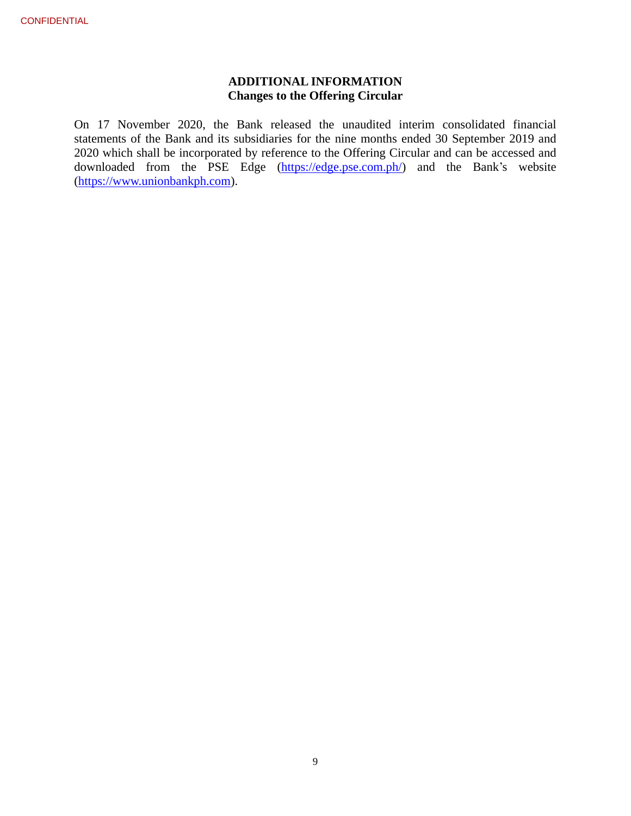# **ADDITIONAL INFORMATION Changes to the Offering Circular**

On 17 November 2020, the Bank released the unaudited interim consolidated financial statements of the Bank and its subsidiaries for the nine months ended 30 September 2019 and 2020 which shall be incorporated by reference to the Offering Circular and can be accessed and downloaded from the PSE Edge [\(https://edge.pse.com.ph/\)](https://edge.pse.com.ph/) and the Bank's website [\(https://www.unionbankph.com\)](https://www.unionbankph.com/).